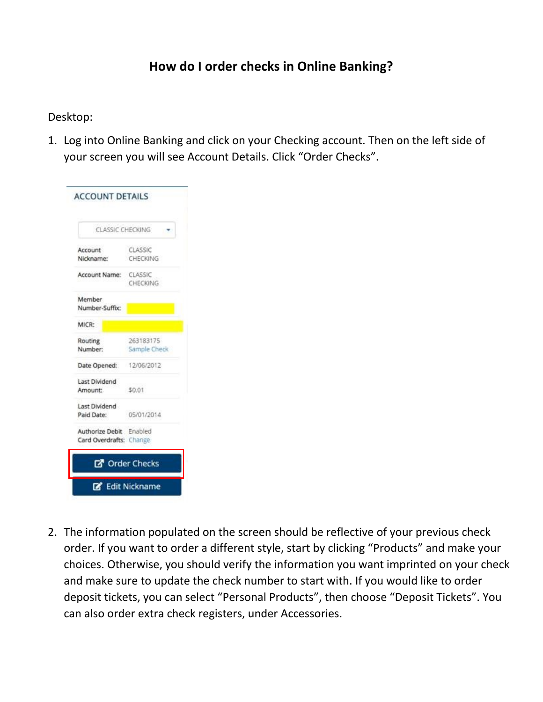## **How do I order checks in Online Banking?**

### Desktop:

1. Log into Online Banking and click on your Checking account. Then on the left side of your screen you will see Account Details. Click "Order Checks".

| <b>CLASSIC CHECKING</b> |                       |  |  |
|-------------------------|-----------------------|--|--|
| Account                 | CLASSIC               |  |  |
| Nickname:               | CHECKING              |  |  |
| Account Name: CLASSIC   |                       |  |  |
|                         | CHECKING              |  |  |
| <b>Member</b>           |                       |  |  |
| Number-Suffix:          |                       |  |  |
| MICR-                   |                       |  |  |
| Routing                 | 263183175             |  |  |
| Number:                 | Sample Check          |  |  |
| Date Opened: 12/06/2012 |                       |  |  |
| Last Dividend           |                       |  |  |
| Amount:                 | \$0.01                |  |  |
| Last Dividend           |                       |  |  |
| Paid Date:              | 05/01/2014            |  |  |
| Authorize Debit Enabled |                       |  |  |
| Card Overdrafts: Change |                       |  |  |
|                         | <b>B</b> Order Checks |  |  |

2. The information populated on the screen should be reflective of your previous check order. If you want to order a different style, start by clicking "Products" and make your choices. Otherwise, you should verify the information you want imprinted on your check and make sure to update the check number to start with. If you would like to order deposit tickets, you can select "Personal Products", then choose "Deposit Tickets". You can also order extra check registers, under Accessories.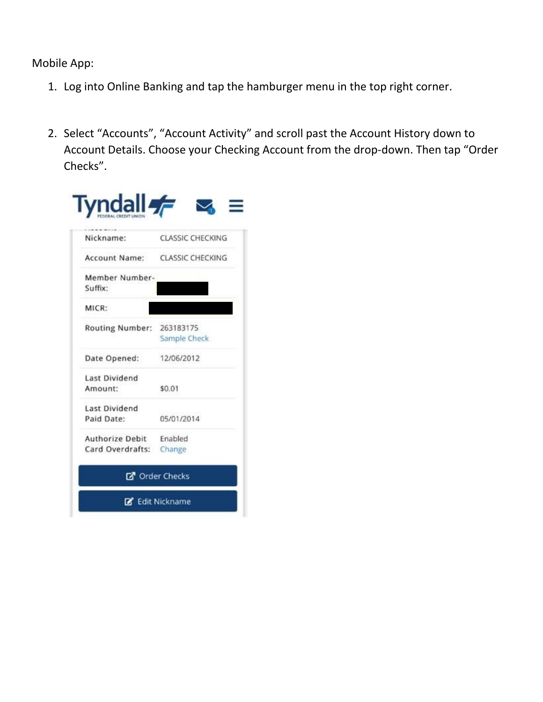Mobile App:

- 1. Log into Online Banking and tap the hamburger menu in the top right corner.
- 2. Select "Accounts", "Account Activity" and scroll past the Account History down to Account Details. Choose your Checking Account from the drop-down. Then tap "Order Checks".

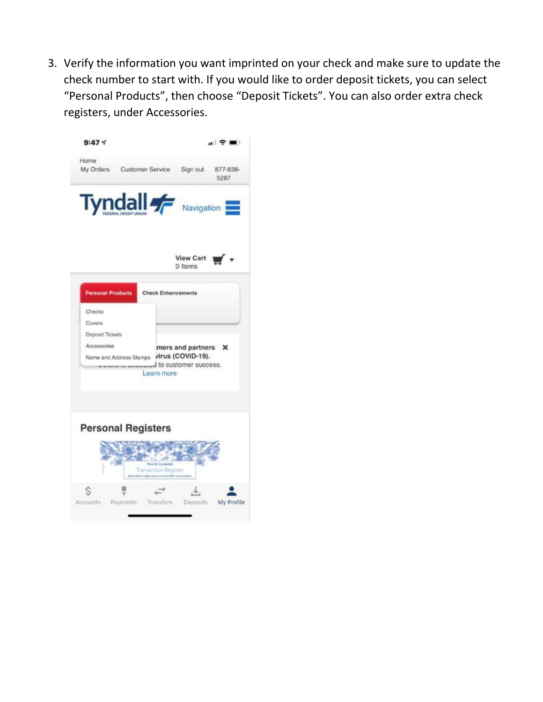3. Verify the information you want imprinted on your check and make sure to update the check number to start with. If you would like to order deposit tickets, you can select "Personal Products", then choose "Deposit Tickets". You can also order extra check registers, under Accessories.

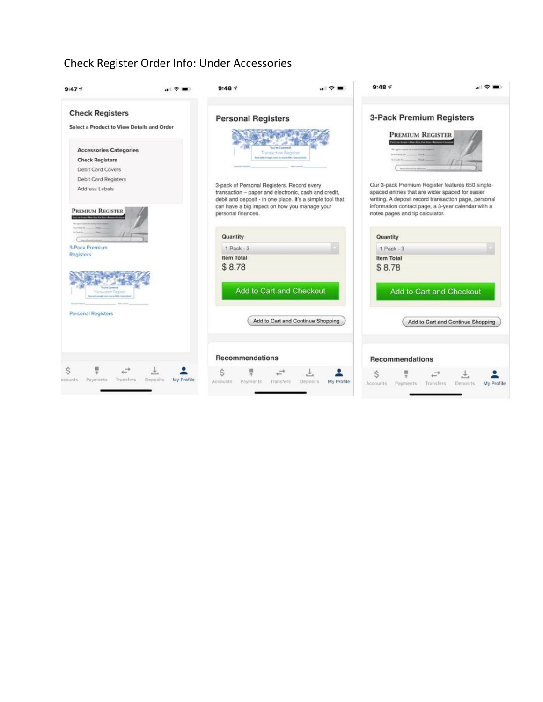#### Check Register Order Info: Under Accessories